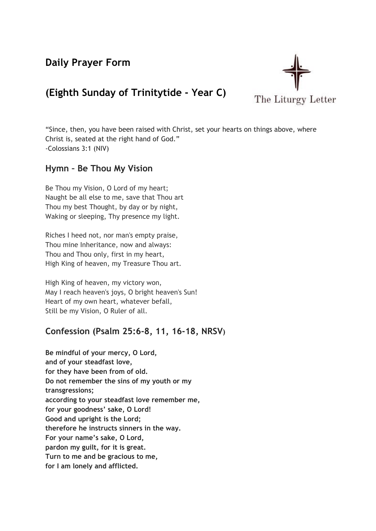# **Daily Prayer Form**

# **(Eighth Sunday of Trinitytide - Year C)**



"Since, then, you have been raised with Christ, set your hearts on things above, where Christ is, seated at the right hand of God." -Colossians 3:1 (NIV)

# **Hymn – Be Thou My Vision**

Be Thou my Vision, O Lord of my heart; Naught be all else to me, save that Thou art Thou my best Thought, by day or by night, Waking or sleeping, Thy presence my light.

Riches I heed not, nor man's empty praise, Thou mine Inheritance, now and always: Thou and Thou only, first in my heart, High King of heaven, my Treasure Thou art.

High King of heaven, my victory won, May I reach heaven's joys, O bright heaven's Sun! Heart of my own heart, whatever befall, Still be my Vision, O Ruler of all.

# **Confession (Psalm 25:6-8, 11, 16-18, NRSV)**

**Be mindful of your mercy, O Lord, and of your steadfast love, for they have been from of old. Do not remember the sins of my youth or my transgressions; according to your steadfast love remember me, for your goodness' sake, O Lord! Good and upright is the Lord; therefore he instructs sinners in the way. For your name's sake, O Lord, pardon my guilt, for it is great. Turn to me and be gracious to me, for I am lonely and afflicted.**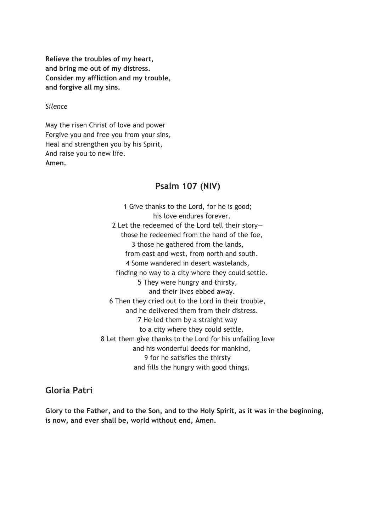**Relieve the troubles of my heart, and bring me out of my distress. Consider my affliction and my trouble, and forgive all my sins.**

*Silence*

May the risen Christ of love and power Forgive you and free you from your sins, Heal and strengthen you by his Spirit, And raise you to new life. **Amen.**

# **Psalm 107 (NIV)**

1 Give thanks to the Lord, for he is good; his love endures forever. 2 Let the redeemed of the Lord tell their story those he redeemed from the hand of the foe, 3 those he gathered from the lands, from east and west, from north and south. 4 Some wandered in desert wastelands, finding no way to a city where they could settle. 5 They were hungry and thirsty, and their lives ebbed away. 6 Then they cried out to the Lord in their trouble, and he delivered them from their distress. 7 He led them by a straight way to a city where they could settle. 8 Let them give thanks to the Lord for his unfailing love and his wonderful deeds for mankind, 9 for he satisfies the thirsty and fills the hungry with good things.

# **Gloria Patri**

**Glory to the Father, and to the Son, and to the Holy Spirit, as it was in the beginning, is now, and ever shall be, world without end, Amen.**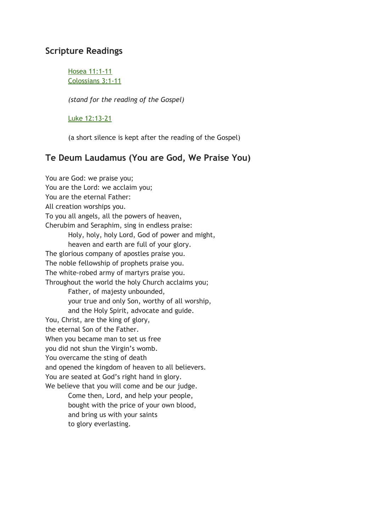### **Scripture Readings**

Hosea [11:1-11](https://www.biblegateway.com/passage/?search=Hosea+11%3A1-11%3BColossians+3%3A1-11%3BLuke+12%3A13-21&version=NIV) [Colossians](https://www.biblegateway.com/passage/?search=Hosea+11%3A1-11%3BColossians+3%3A1-11%3BLuke+12%3A13-21&version=NIV) 3:1-11

*(stand for the reading of the Gospel)*

Luke [12:13-21](https://www.biblegateway.com/passage/?search=Hosea+11%3A1-11%3BColossians+3%3A1-11%3BLuke+12%3A13-21&version=NIV)

(a short silence is kept after the reading of the Gospel)

### **Te Deum Laudamus (You are God, We Praise You)**

You are God: we praise you; You are the Lord: we acclaim you; You are the eternal Father: All creation worships you. To you all angels, all the powers of heaven, Cherubim and Seraphim, sing in endless praise: Holy, holy, holy Lord, God of power and might, heaven and earth are full of your glory. The glorious company of apostles praise you. The noble fellowship of prophets praise you. The white-robed army of martyrs praise you. Throughout the world the holy Church acclaims you; Father, of majesty unbounded, your true and only Son, worthy of all worship, and the Holy Spirit, advocate and guide. You, Christ, are the king of glory, the eternal Son of the Father. When you became man to set us free you did not shun the Virgin's womb. You overcame the sting of death and opened the kingdom of heaven to all believers. You are seated at God's right hand in glory. We believe that you will come and be our judge. Come then, Lord, and help your people, bought with the price of your own blood, and bring us with your saints

to glory everlasting.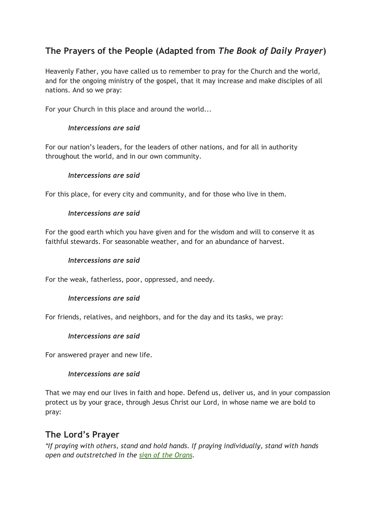# **The Prayers of the People (Adapted from** *The Book of Daily Prayer***)**

Heavenly Father, you have called us to remember to pray for the Church and the world, and for the ongoing ministry of the gospel, that it may increase and make disciples of all nations. And so we pray:

For your Church in this place and around the world...

#### *Intercessions are said*

For our nation's leaders, for the leaders of other nations, and for all in authority throughout the world, and in our own community.

#### *Intercessions are said*

For this place, for every city and community, and for those who live in them.

#### *Intercessions are said*

For the good earth which you have given and for the wisdom and will to conserve it as faithful stewards. For seasonable weather, and for an abundance of harvest.

#### *Intercessions are said*

For the weak, fatherless, poor, oppressed, and needy.

#### *Intercessions are said*

For friends, relatives, and neighbors, and for the day and its tasks, we pray:

#### *Intercessions are said*

For answered prayer and new life.

#### *Intercessions are said*

That we may end our lives in faith and hope. Defend us, deliver us, and in your compassion protect us by your grace, through Jesus Christ our Lord, in whose name we are bold to pray:

# **The Lord's Prayer**

*\*If praying with others, stand and hold hands. If praying individually, stand with hands open and outstretched in the sign of the [Orans](https://en.wikipedia.org/wiki/Orans).*